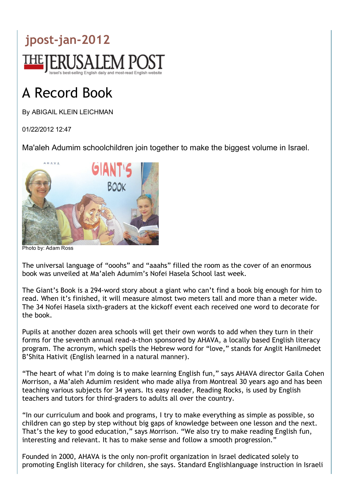

## A Record Book

By ABIGAIL KLEIN LEICHMAN

01/22/2012 12:47

Ma'aleh Adumim schoolchildren join together to make the biggest volume in Israel.



Photo by: Adam Ross

The universal language of "ooohs" and "aaahs" filled the room as the cover of an enormous book was unveiled at Ma'aleh Adumim's Nofei Hasela School last week.

The Giant's Book is a 294‐word story about a giant who can't find a book big enough for him to read. When it's finished, it will measure almost two meters tall and more than a meter wide. The 34 Nofei Hasela sixth‐graders at the kickoff event each received one word to decorate for the book.

Pupils at another dozen area schools will get their own words to add when they turn in their forms for the seventh annual read‐a‐thon sponsored by AHAVA, a locally based English literacy program. The acronym, which spells the Hebrew word for "love," stands for Anglit Hanilmedet B'Shita Hativit (English learned in a natural manner).

"The heart of what I'm doing is to make learning English fun," says AHAVA director Gaila Cohen Morrison, a Ma'aleh Adumim resident who made aliya from Montreal 30 years ago and has been teaching various subjects for 34 years. Its easy reader, Reading Rocks, is used by English teachers and tutors for third‐graders to adults all over the country.

"In our curriculum and book and programs, I try to make everything as simple as possible, so children can go step by step without big gaps of knowledge between one lesson and the next. That's the key to good education," says Morrison. "We also try to make reading English fun, interesting and relevant. It has to make sense and follow a smooth progression."

Founded in 2000, AHAVA is the only non‐profit organization in Israel dedicated solely to promoting English literacy for children, she says. Standard Englishlanguage instruction in Israeli